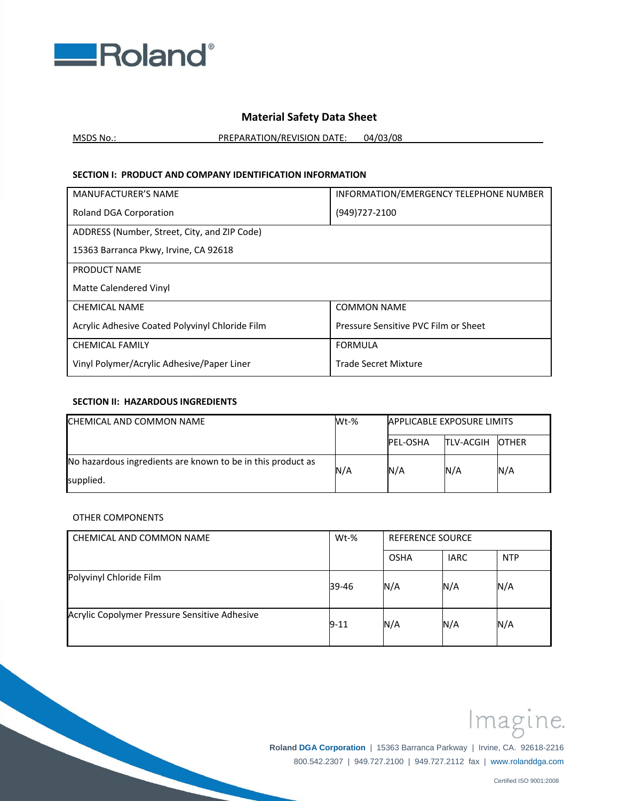

# **Material Safety Data Sheet**

MSDS No.: PREPARATION/REVISION DATE: 04/03/08

## **SECTION I: PRODUCT AND COMPANY IDENTIFICATION INFORMATION**

| <b>MANUFACTURER'S NAME</b>                      | INFORMATION/EMERGENCY TELEPHONE NUMBER |
|-------------------------------------------------|----------------------------------------|
| <b>Roland DGA Corporation</b>                   | (949) 727-2100                         |
| ADDRESS (Number, Street, City, and ZIP Code)    |                                        |
| 15363 Barranca Pkwy, Irvine, CA 92618           |                                        |
| PRODUCT NAME                                    |                                        |
| Matte Calendered Vinyl                          |                                        |
| <b>CHEMICAL NAME</b>                            | <b>COMMON NAME</b>                     |
| Acrylic Adhesive Coated Polyvinyl Chloride Film | Pressure Sensitive PVC Film or Sheet   |
| <b>CHEMICAL FAMILY</b>                          | <b>FORMULA</b>                         |
| Vinyl Polymer/Acrylic Adhesive/Paper Liner      | Trade Secret Mixture                   |

### **SECTION II: HAZARDOUS INGREDIENTS**

| CHEMICAL AND COMMON NAME                                    | $Wt-%$ | <b>APPLICABLE EXPOSURE LIMITS</b> |                   |               |
|-------------------------------------------------------------|--------|-----------------------------------|-------------------|---------------|
|                                                             |        | <b>PEL-OSHA</b>                   | <b>ITLV-ACGIH</b> | <b>IOTHER</b> |
| No hazardous ingredients are known to be in this product as | N/A    | N/A                               | N/A               | N/A           |
| supplied.                                                   |        |                                   |                   |               |

## OTHER COMPONENTS

| LCHEMICAL AND COMMON NAME                     | Wt-%     | <b>REFERENCE SOURCE</b> |             |            |
|-----------------------------------------------|----------|-------------------------|-------------|------------|
|                                               |          | <b>OSHA</b>             | <b>IARC</b> | <b>NTP</b> |
| Polyvinyl Chloride Film                       | 39-46    | N/A                     | N/A         | N/A        |
| Acrylic Copolymer Pressure Sensitive Adhesive | $9 - 11$ | N/A                     | N/A         | N/A        |



 **Roland DGA Corporation** | 15363 Barranca Parkway | Irvine, CA. 92618-2216 800.542.2307 | 949.727.2100 | 949.727.2112 fax | www.rolanddga.com

Certified ISO 9001:2008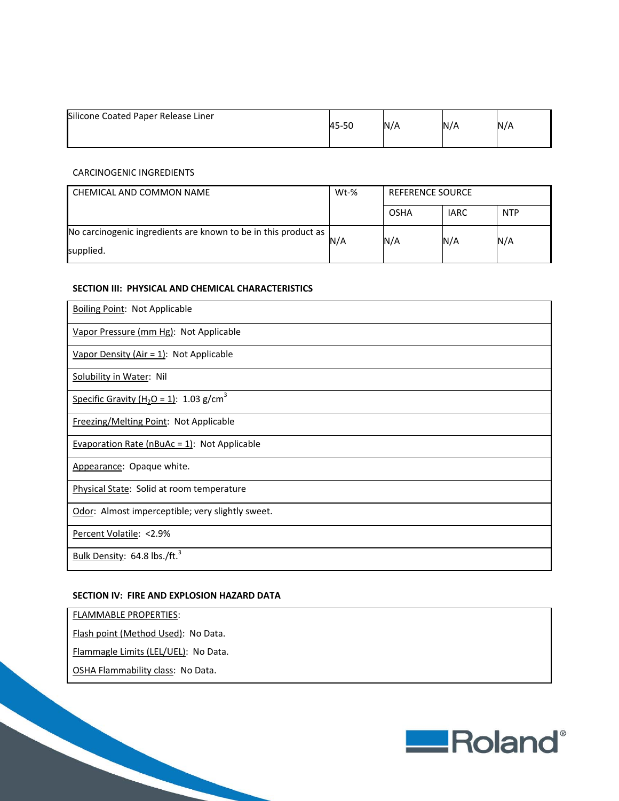| Silicone Coated Paper Release Liner | 45-50 | $N/\ell$ | N/A | N/A |
|-------------------------------------|-------|----------|-----|-----|
|                                     |       |          |     |     |

## CARCINOGENIC INGREDIENTS

| CHEMICAL AND COMMON NAME                                       | $Wt-%$ | <b>REFERENCE SOURCE</b> |             |            |
|----------------------------------------------------------------|--------|-------------------------|-------------|------------|
|                                                                |        | OSHA                    | <b>IARC</b> | <b>NTP</b> |
| No carcinogenic ingredients are known to be in this product as | N/A    | N/A                     | N/A         | N/A        |
| supplied.                                                      |        |                         |             |            |

#### **SECTION III: PHYSICAL AND CHEMICAL CHARACTERISTICS**

| <b>Boiling Point: Not Applicable</b>                            |
|-----------------------------------------------------------------|
| Vapor Pressure (mm Hg): Not Applicable                          |
| Vapor Density (Air = $1$ ): Not Applicable                      |
| <b>Solubility in Water: Nil</b>                                 |
| Specific Gravity (H <sub>2</sub> O = 1): 1.03 g/cm <sup>3</sup> |
| Freezing/Melting Point: Not Applicable                          |
| <b>Evaporation Rate (nBuAc = 1): Not Applicable</b>             |
| Appearance: Opaque white.                                       |
| <b>Physical State: Solid at room temperature</b>                |
| Odor: Almost imperceptible; very slightly sweet.                |
| Percent Volatile: < 2.9%                                        |
| Bulk Density: 64.8 lbs./ft. <sup>3</sup>                        |

#### **SECTION IV: FIRE AND EXPLOSION HAZARD DATA**

FLAMMABLE PROPERTIES:

Flash point (Method Used): No Data.

Flammagle Limits (LEL/UEL): No Data.

OSHA Flammability class: No Data.

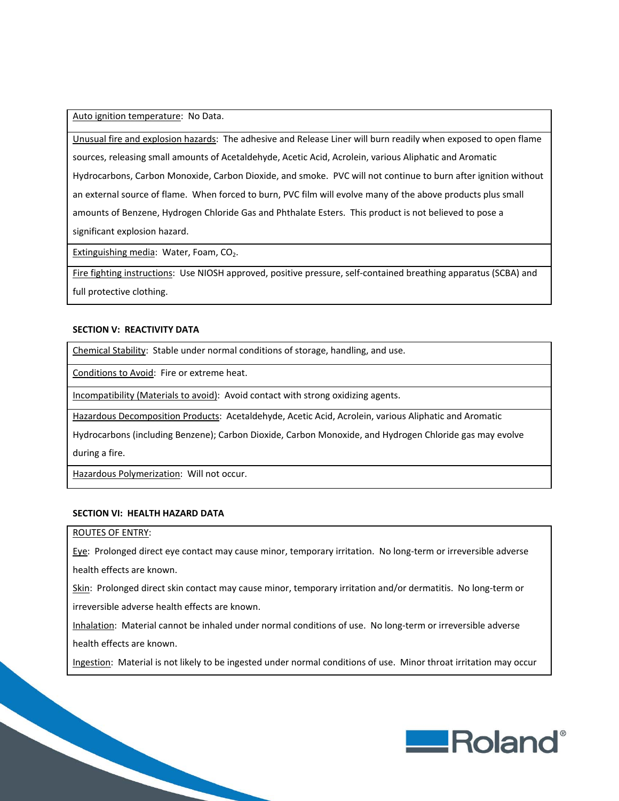Auto ignition temperature: No Data.

Unusual fire and explosion hazards: The adhesive and Release Liner will burn readily when exposed to open flame sources, releasing small amounts of Acetaldehyde, Acetic Acid, Acrolein, various Aliphatic and Aromatic Hydrocarbons, Carbon Monoxide, Carbon Dioxide, and smoke. PVC will not continue to burn after ignition without an external source of flame. When forced to burn, PVC film will evolve many of the above products plus small amounts of Benzene, Hydrogen Chloride Gas and Phthalate Esters. This product is not believed to pose a significant explosion hazard.

Extinguishing media: Water, Foam, CO<sub>2</sub>.

Fire fighting instructions: Use NIOSH approved, positive pressure, self‐contained breathing apparatus (SCBA) and full protective clothing.

#### **SECTION V: REACTIVITY DATA**

Chemical Stability: Stable under normal conditions of storage, handling, and use.

Conditions to Avoid: Fire or extreme heat.

Incompatibility (Materials to avoid): Avoid contact with strong oxidizing agents.

Hazardous Decomposition Products: Acetaldehyde, Acetic Acid, Acrolein, various Aliphatic and Aromatic

Hydrocarbons (including Benzene); Carbon Dioxide, Carbon Monoxide, and Hydrogen Chloride gas may evolve

during a fire.

Hazardous Polymerization: Will not occur.

#### **SECTION VI: HEALTH HAZARD DATA**

## ROUTES OF ENTRY:

Eye: Prolonged direct eye contact may cause minor, temporary irritation. No long-term or irreversible adverse health effects are known.

Skin: Prolonged direct skin contact may cause minor, temporary irritation and/or dermatitis. No long-term or irreversible adverse health effects are known.

Inhalation: Material cannot be inhaled under normal conditions of use. No long-term or irreversible adverse health effects are known.

Ingestion: Material is not likely to be ingested under normal conditions of use. Minor throat irritation may occur

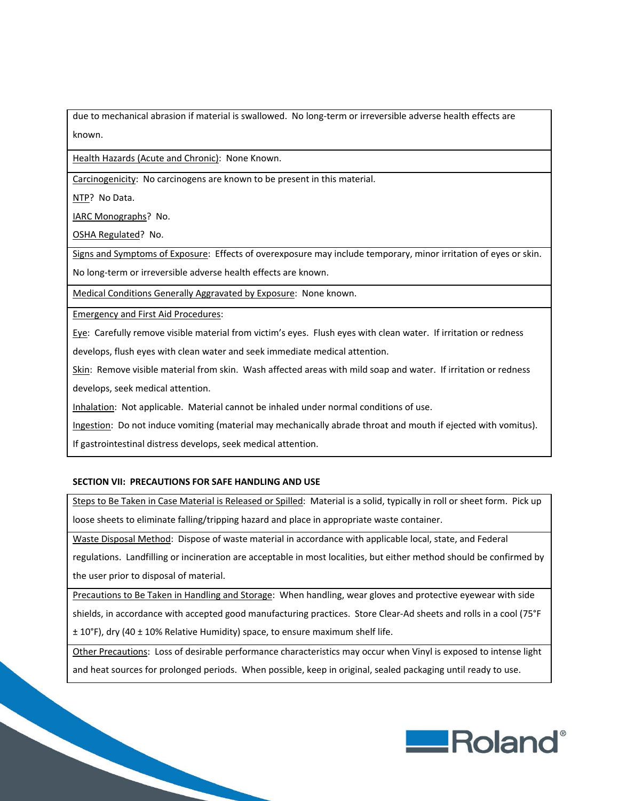due to mechanical abrasion if material is swallowed. No long‐term or irreversible adverse health effects are known.

Health Hazards (Acute and Chronic): None Known.

Carcinogenicity: No carcinogens are known to be present in this material.

NTP? No Data.

IARC Monographs? No.

OSHA Regulated? No.

Signs and Symptoms of Exposure: Effects of overexposure may include temporary, minor irritation of eyes or skin.

No long‐term or irreversible adverse health effects are known.

Medical Conditions Generally Aggravated by Exposure: None known.

Emergency and First Aid Procedures:

Eye: Carefully remove visible material from victim's eyes. Flush eyes with clean water. If irritation or redness

develops, flush eyes with clean water and seek immediate medical attention.

Skin: Remove visible material from skin. Wash affected areas with mild soap and water. If irritation or redness develops, seek medical attention.

Inhalation: Not applicable. Material cannot be inhaled under normal conditions of use.

Ingestion: Do not induce vomiting (material may mechanically abrade throat and mouth if ejected with vomitus).

If gastrointestinal distress develops, seek medical attention.

## **SECTION VII: PRECAUTIONS FOR SAFE HANDLING AND USE**

Steps to Be Taken in Case Material is Released or Spilled: Material is a solid, typically in roll or sheet form. Pick up loose sheets to eliminate falling/tripping hazard and place in appropriate waste container.

Waste Disposal Method: Dispose of waste material in accordance with applicable local, state, and Federal

regulations. Landfilling or incineration are acceptable in most localities, but either method should be confirmed by the user prior to disposal of material.

Precautions to Be Taken in Handling and Storage: When handling, wear gloves and protective eyewear with side shields, in accordance with accepted good manufacturing practices. Store Clear‐Ad sheets and rolls in a cool (75°F ± 10°F), dry (40 ± 10% Relative Humidity) space, to ensure maximum shelf life.

Other Precautions: Loss of desirable performance characteristics may occur when Vinyl is exposed to intense light and heat sources for prolonged periods. When possible, keep in original, sealed packaging until ready to use.

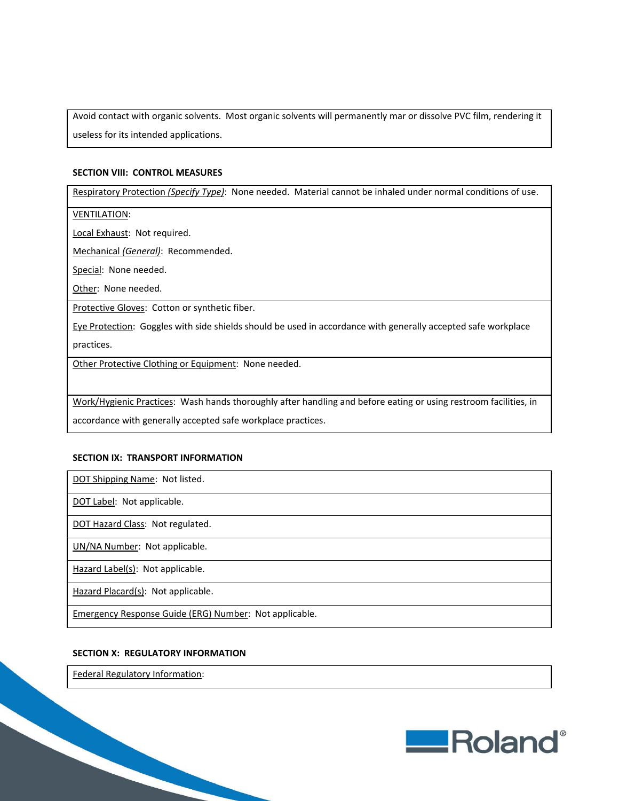Avoid contact with organic solvents. Most organic solvents will permanently mar or dissolve PVC film, rendering it useless for its intended applications.

#### **SECTION VIII: CONTROL MEASURES**

Respiratory Protection *(Specify Type)*: None needed. Material cannot be inhaled under normal conditions of use.

VENTILATION:

Local Exhaust: Not required.

Mechanical *(General)*: Recommended.

Special: None needed.

Other: None needed.

Protective Gloves: Cotton or synthetic fiber.

Eye Protection: Goggles with side shields should be used in accordance with generally accepted safe workplace

practices.

Other Protective Clothing or Equipment: None needed.

Work/Hygienic Practices: Wash hands thoroughly after handling and before eating or using restroom facilities, in

accordance with generally accepted safe workplace practices.

#### **SECTION IX: TRANSPORT INFORMATION**

DOT Shipping Name: Not listed.

DOT Label: Not applicable.

DOT Hazard Class: Not regulated.

UN/NA Number: Not applicable.

Hazard Label(s): Not applicable.

Hazard Placard(s): Not applicable.

Emergency Response Guide (ERG) Number: Not applicable.

#### **SECTION X: REGULATORY INFORMATION**

Federal Regulatory Information:

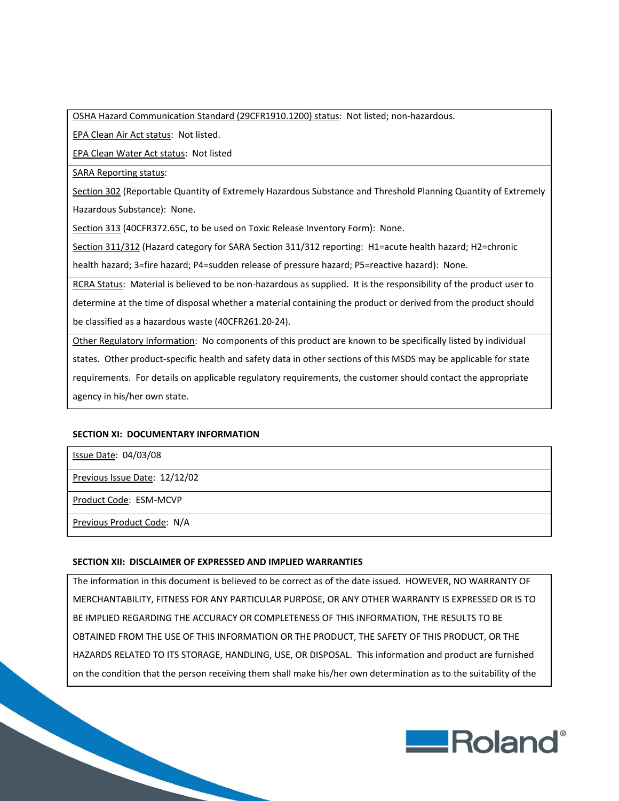OSHA Hazard Communication Standard (29CFR1910.1200) status: Not listed; non‐hazardous.

EPA Clean Air Act status: Not listed.

EPA Clean Water Act status: Not listed

SARA Reporting status:

Section 302 (Reportable Quantity of Extremely Hazardous Substance and Threshold Planning Quantity of Extremely Hazardous Substance): None.

Section 313 (40CFR372.65C, to be used on Toxic Release Inventory Form): None.

Section 311/312 (Hazard category for SARA Section 311/312 reporting: H1=acute health hazard; H2=chronic

health hazard; 3=fire hazard; P4=sudden release of pressure hazard; P5=reactive hazard): None.

RCRA Status: Material is believed to be non-hazardous as supplied. It is the responsibility of the product user to determine at the time of disposal whether a material containing the product or derived from the product should be classified as a hazardous waste (40CFR261.20‐24).

Other Regulatory Information: No components of this product are known to be specifically listed by individual states. Other product‐specific health and safety data in other sections of this MSDS may be applicable for state requirements. For details on applicable regulatory requirements, the customer should contact the appropriate agency in his/her own state.

## **SECTION XI: DOCUMENTARY INFORMATION**

Issue Date: 04/03/08

Previous Issue Date: 12/12/02

Product Code: ESM‐MCVP

Previous Product Code: N/A

## **SECTION XII: DISCLAIMER OF EXPRESSED AND IMPLIED WARRANTIES**

The information in this document is believed to be correct as of the date issued. HOWEVER, NO WARRANTY OF MERCHANTABILITY, FITNESS FOR ANY PARTICULAR PURPOSE, OR ANY OTHER WARRANTY IS EXPRESSED OR IS TO BE IMPLIED REGARDING THE ACCURACY OR COMPLETENESS OF THIS INFORMATION, THE RESULTS TO BE OBTAINED FROM THE USE OF THIS INFORMATION OR THE PRODUCT, THE SAFETY OF THIS PRODUCT, OR THE HAZARDS RELATED TO ITS STORAGE, HANDLING, USE, OR DISPOSAL. This information and product are furnished on the condition that the person receiving them shall make his/her own determination as to the suitability of the